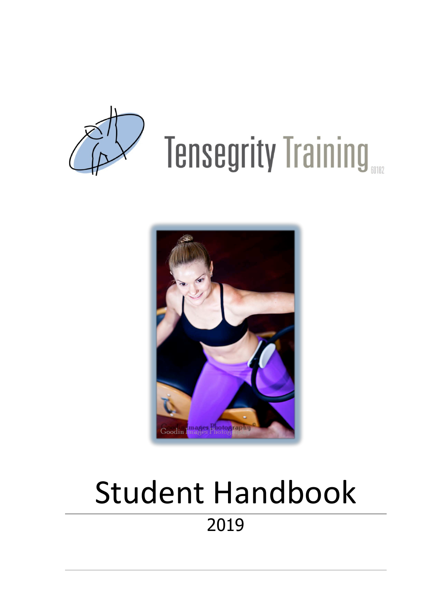

# **Tensegrity Training**



# Student Handbook 2019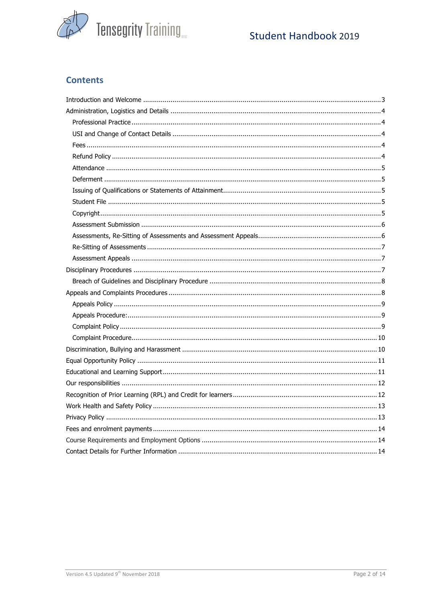

# Student Handbook 2019

# **Contents**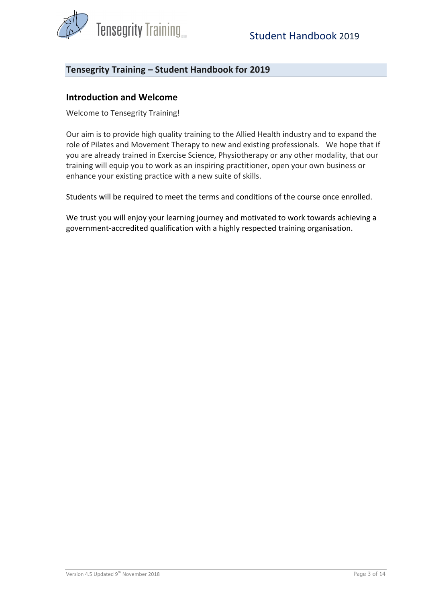

# Tensegrity Training – Student Handbook for 2019

#### **Introduction and Welcome**

Welcome to Tensegrity Training!

Our aim is to provide high quality training to the Allied Health industry and to expand the role of Pilates and Movement Therapy to new and existing professionals. We hope that if you are already trained in Exercise Science, Physiotherapy or any other modality, that our training will equip you to work as an inspiring practitioner, open your own business or enhance your existing practice with a new suite of skills.

Students will be required to meet the terms and conditions of the course once enrolled.

We trust you will enjoy your learning journey and motivated to work towards achieving a government-accredited qualification with a highly respected training organisation.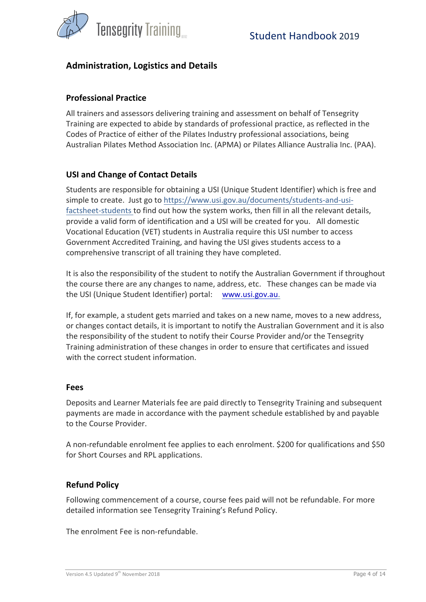

# **Administration, Logistics and Details**

#### **Professional Practice**

All trainers and assessors delivering training and assessment on behalf of Tensegrity Training are expected to abide by standards of professional practice, as reflected in the Codes of Practice of either of the Pilates Industry professional associations, being Australian Pilates Method Association Inc. (APMA) or Pilates Alliance Australia Inc. (PAA).

#### **USI and Change of Contact Details**

Students are responsible for obtaining a USI (Unique Student Identifier) which is free and simple to create. Just go to https://www.usi.gov.au/documents/students-and-usifactsheet-students to find out how the system works, then fill in all the relevant details, provide a valid form of identification and a USI will be created for you. All domestic Vocational Education (VET) students in Australia require this USI number to access Government Accredited Training, and having the USI gives students access to a comprehensive transcript of all training they have completed.

It is also the responsibility of the student to notify the Australian Government if throughout the course there are any changes to name, address, etc. These changes can be made via the USI (Unique Student Identifier) portal: www.usi.gov.au.

If, for example, a student gets married and takes on a new name, moves to a new address, or changes contact details, it is important to notify the Australian Government and it is also the responsibility of the student to notify their Course Provider and/or the Tensegrity Training administration of these changes in order to ensure that certificates and issued with the correct student information.

#### **Fees**

Deposits and Learner Materials fee are paid directly to Tensegrity Training and subsequent payments are made in accordance with the payment schedule established by and payable to the Course Provider.

A non-refundable enrolment fee applies to each enrolment. \$200 for qualifications and \$50 for Short Courses and RPL applications.

#### **Refund Policy**

Following commencement of a course, course fees paid will not be refundable. For more detailed information see Tensegrity Training's Refund Policy.

The enrolment Fee is non-refundable.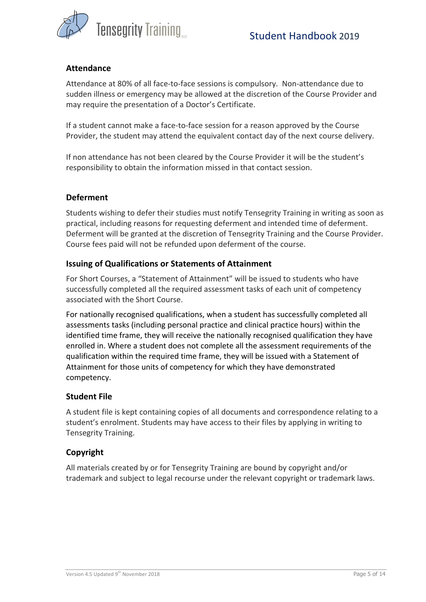

#### **Attendance**

Attendance at 80% of all face-to-face sessions is compulsory. Non-attendance due to sudden illness or emergency may be allowed at the discretion of the Course Provider and may require the presentation of a Doctor's Certificate.

If a student cannot make a face-to-face session for a reason approved by the Course Provider, the student may attend the equivalent contact day of the next course delivery.

If non attendance has not been cleared by the Course Provider it will be the student's responsibility to obtain the information missed in that contact session.

#### **Deferment**

Students wishing to defer their studies must notify Tensegrity Training in writing as soon as practical, including reasons for requesting deferment and intended time of deferment. Deferment will be granted at the discretion of Tensegrity Training and the Course Provider. Course fees paid will not be refunded upon deferment of the course.

#### **Issuing of Qualifications or Statements of Attainment**

For Short Courses, a "Statement of Attainment" will be issued to students who have successfully completed all the required assessment tasks of each unit of competency associated with the Short Course.

For nationally recognised qualifications, when a student has successfully completed all assessments tasks (including personal practice and clinical practice hours) within the identified time frame, they will receive the nationally recognised qualification they have enrolled in. Where a student does not complete all the assessment requirements of the qualification within the required time frame, they will be issued with a Statement of Attainment for those units of competency for which they have demonstrated competency. 

#### **Student File**

A student file is kept containing copies of all documents and correspondence relating to a student's enrolment. Students may have access to their files by applying in writing to Tensegrity Training. 

#### **Copyright**

All materials created by or for Tensegrity Training are bound by copyright and/or trademark and subject to legal recourse under the relevant copyright or trademark laws.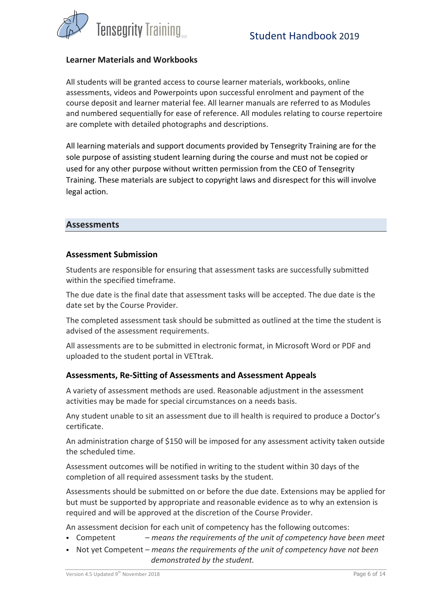

#### **Learner Materials and Workbooks**

All students will be granted access to course learner materials, workbooks, online assessments, videos and Powerpoints upon successful enrolment and payment of the course deposit and learner material fee. All learner manuals are referred to as Modules and numbered sequentially for ease of reference. All modules relating to course repertoire are complete with detailed photographs and descriptions.

All learning materials and support documents provided by Tensegrity Training are for the sole purpose of assisting student learning during the course and must not be copied or used for any other purpose without written permission from the CEO of Tensegrity Training. These materials are subject to copyright laws and disrespect for this will involve legal action.

#### **Assessments**

#### **Assessment Submission**

Students are responsible for ensuring that assessment tasks are successfully submitted within the specified timeframe.

The due date is the final date that assessment tasks will be accepted. The due date is the date set by the Course Provider.

The completed assessment task should be submitted as outlined at the time the student is advised of the assessment requirements.

All assessments are to be submitted in electronic format, in Microsoft Word or PDF and uploaded to the student portal in VETtrak.

#### Assessments, Re-Sitting of Assessments and Assessment Appeals

A variety of assessment methods are used. Reasonable adjustment in the assessment activities may be made for special circumstances on a needs basis.

Any student unable to sit an assessment due to ill health is required to produce a Doctor's certificate. 

An administration charge of \$150 will be imposed for any assessment activity taken outside the scheduled time.

Assessment outcomes will be notified in writing to the student within 30 days of the completion of all required assessment tasks by the student.

Assessments should be submitted on or before the due date. Extensions may be applied for but must be supported by appropriate and reasonable evidence as to why an extension is required and will be approved at the discretion of the Course Provider.

An assessment decision for each unit of competency has the following outcomes:

- Competent  *means the requirements of the unit of competency have been meet*
- Not yet Competent means the requirements of the unit of competency have not been *demonstrated by the student.*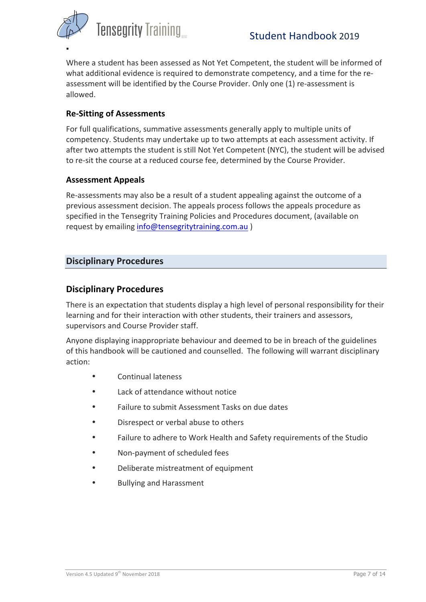

§

Where a student has been assessed as Not Yet Competent, the student will be informed of what additional evidence is required to demonstrate competency, and a time for the reassessment will be identified by the Course Provider. Only one (1) re-assessment is allowed. 

# **Re-Sitting of Assessments**

For full qualifications, summative assessments generally apply to multiple units of competency. Students may undertake up to two attempts at each assessment activity. If after two attempts the student is still Not Yet Competent (NYC), the student will be advised to re-sit the course at a reduced course fee, determined by the Course Provider.

#### **Assessment Appeals**

Re-assessments may also be a result of a student appealing against the outcome of a previous assessment decision. The appeals process follows the appeals procedure as specified in the Tensegrity Training Policies and Procedures document, (available on request by emailing info@tensegritytraining.com.au )

# **Disciplinary Procedures**

# **Disciplinary Procedures**

There is an expectation that students display a high level of personal responsibility for their learning and for their interaction with other students, their trainers and assessors, supervisors and Course Provider staff.

Anyone displaying inappropriate behaviour and deemed to be in breach of the guidelines of this handbook will be cautioned and counselled. The following will warrant disciplinary action: 

- Continual lateness
- Lack of attendance without notice
- Failure to submit Assessment Tasks on due dates
- Disrespect or verbal abuse to others
- Failure to adhere to Work Health and Safety requirements of the Studio
- Non-payment of scheduled fees
- Deliberate mistreatment of equipment
- Bullying and Harassment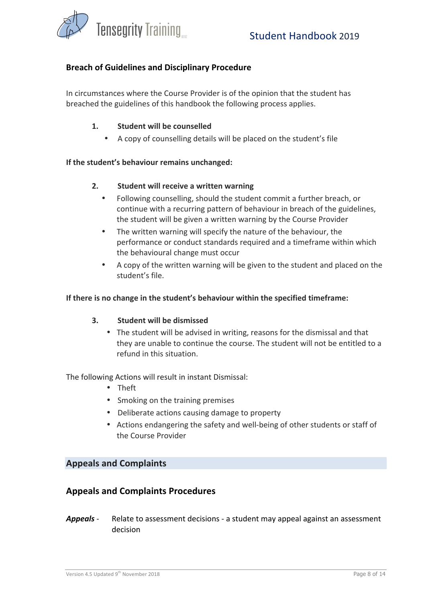

#### **Breach of Guidelines and Disciplinary Procedure**

In circumstances where the Course Provider is of the opinion that the student has breached the guidelines of this handbook the following process applies.

#### 1. **Student will be counselled**

A copy of counselling details will be placed on the student's file

#### If the student's behaviour remains unchanged:

#### **2.** Student will receive a written warning

- Following counselling, should the student commit a further breach, or continue with a recurring pattern of behaviour in breach of the guidelines, the student will be given a written warning by the Course Provider
- The written warning will specify the nature of the behaviour, the performance or conduct standards required and a timeframe within which the behavioural change must occur
- A copy of the written warning will be given to the student and placed on the student's file.

#### **If there is no change in the student's behaviour within the specified timeframe:**

#### **3.** Student will be dismissed

• The student will be advised in writing, reasons for the dismissal and that they are unable to continue the course. The student will not be entitled to a refund in this situation.

The following Actions will result in instant Dismissal:

- Theft
- Smoking on the training premises
- Deliberate actions causing damage to property
- Actions endangering the safety and well-being of other students or staff of the Course Provider

#### **Appeals and Complaints**

#### **Appeals and Complaints Procedures**

**Appeals** - Relate to assessment decisions - a student may appeal against an assessment decision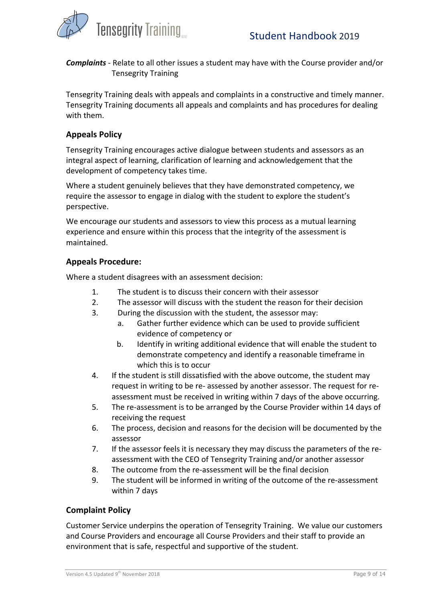

**Complaints** - Relate to all other issues a student may have with the Course provider and/or Tensegrity Training 

Tensegrity Training deals with appeals and complaints in a constructive and timely manner. Tensegrity Training documents all appeals and complaints and has procedures for dealing with them.

# **Appeals Policy**

Tensegrity Training encourages active dialogue between students and assessors as an integral aspect of learning, clarification of learning and acknowledgement that the development of competency takes time.

Where a student genuinely believes that they have demonstrated competency, we require the assessor to engage in dialog with the student to explore the student's perspective. 

We encourage our students and assessors to view this process as a mutual learning experience and ensure within this process that the integrity of the assessment is maintained. 

# **Appeals Procedure:**

Where a student disagrees with an assessment decision:

- 1. The student is to discuss their concern with their assessor
- 2. The assessor will discuss with the student the reason for their decision
- 3. During the discussion with the student, the assessor may:
	- a. Gather further evidence which can be used to provide sufficient evidence of competency or
	- b. Identify in writing additional evidence that will enable the student to demonstrate competency and identify a reasonable timeframe in which this is to occur
- 4. If the student is still dissatisfied with the above outcome, the student may request in writing to be re- assessed by another assessor. The request for reassessment must be received in writing within 7 days of the above occurring.
- 5. The re-assessment is to be arranged by the Course Provider within 14 days of receiving the request
- 6. The process, decision and reasons for the decision will be documented by the assessor
- 7. If the assessor feels it is necessary they may discuss the parameters of the reassessment with the CEO of Tensegrity Training and/or another assessor
- 8. The outcome from the re-assessment will be the final decision
- 9. The student will be informed in writing of the outcome of the re-assessment within 7 days

# **Complaint Policy**

Customer Service underpins the operation of Tensegrity Training. We value our customers and Course Providers and encourage all Course Providers and their staff to provide an environment that is safe, respectful and supportive of the student.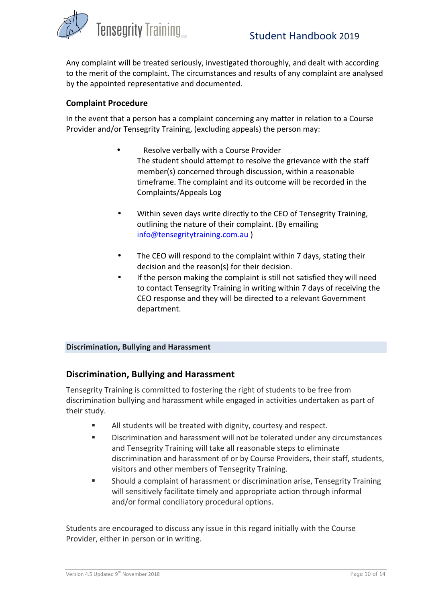

Any complaint will be treated seriously, investigated thoroughly, and dealt with according to the merit of the complaint. The circumstances and results of any complaint are analysed by the appointed representative and documented.

#### **Complaint Procedure**

In the event that a person has a complaint concerning any matter in relation to a Course Provider and/or Tensegrity Training, (excluding appeals) the person may:

- Resolve verbally with a Course Provider The student should attempt to resolve the grievance with the staff member(s) concerned through discussion, within a reasonable timeframe. The complaint and its outcome will be recorded in the Complaints/Appeals Log
- Within seven days write directly to the CEO of Tensegrity Training, outlining the nature of their complaint. (By emailing info@tensegritytraining.com.au )
- The CEO will respond to the complaint within 7 days, stating their decision and the reason(s) for their decision.
- If the person making the complaint is still not satisfied they will need to contact Tensegrity Training in writing within 7 days of receiving the CEO response and they will be directed to a relevant Government department.

#### **Discrimination, Bullying and Harassment**

#### **Discrimination, Bullying and Harassment**

Tensegrity Training is committed to fostering the right of students to be free from discrimination bullying and harassment while engaged in activities undertaken as part of their study.

- **EXECT** All students will be treated with dignity, courtesy and respect.
- Discrimination and harassment will not be tolerated under any circumstances and Tensegrity Training will take all reasonable steps to eliminate discrimination and harassment of or by Course Providers, their staff, students, visitors and other members of Tensegrity Training.
- Should a complaint of harassment or discrimination arise, Tensegrity Training will sensitively facilitate timely and appropriate action through informal and/or formal conciliatory procedural options.

Students are encouraged to discuss any issue in this regard initially with the Course Provider, either in person or in writing.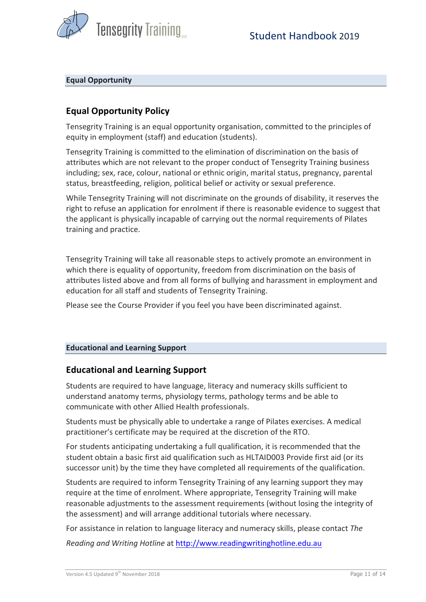

#### **Equal Opportunity**

# **Equal Opportunity Policy**

Tensegrity Training is an equal opportunity organisation, committed to the principles of equity in employment (staff) and education (students).

Tensegrity Training is committed to the elimination of discrimination on the basis of attributes which are not relevant to the proper conduct of Tensegrity Training business including; sex, race, colour, national or ethnic origin, marital status, pregnancy, parental status, breastfeeding, religion, political belief or activity or sexual preference.

While Tensegrity Training will not discriminate on the grounds of disability, it reserves the right to refuse an application for enrolment if there is reasonable evidence to suggest that the applicant is physically incapable of carrying out the normal requirements of Pilates training and practice.

Tensegrity Training will take all reasonable steps to actively promote an environment in which there is equality of opportunity, freedom from discrimination on the basis of attributes listed above and from all forms of bullying and harassment in employment and education for all staff and students of Tensegrity Training.

Please see the Course Provider if you feel you have been discriminated against.

#### **Educational and Learning Support**

# **Educational and Learning Support**

Students are required to have language, literacy and numeracy skills sufficient to understand anatomy terms, physiology terms, pathology terms and be able to communicate with other Allied Health professionals.

Students must be physically able to undertake a range of Pilates exercises. A medical practitioner's certificate may be required at the discretion of the RTO.

For students anticipating undertaking a full qualification, it is recommended that the student obtain a basic first aid qualification such as HLTAID003 Provide first aid (or its successor unit) by the time they have completed all requirements of the qualification.

Students are required to inform Tensegrity Training of any learning support they may require at the time of enrolment. Where appropriate, Tensegrity Training will make reasonable adjustments to the assessment requirements (without losing the integrity of the assessment) and will arrange additional tutorials where necessary.

For assistance in relation to language literacy and numeracy skills, please contact The *Reading and Writing Hotline* at http://www.readingwritinghotline.edu.au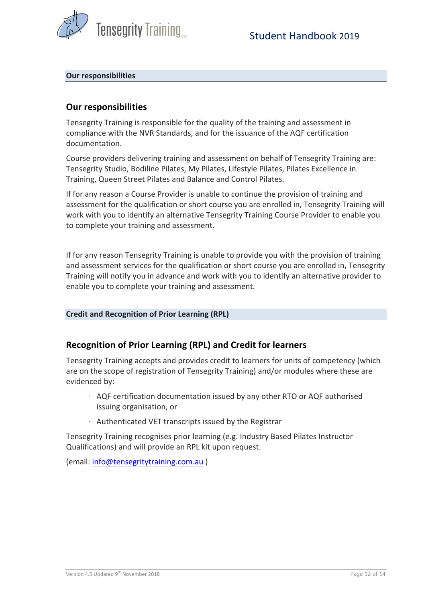

#### **Our responsibilities**

# **Our responsibilities**

Tensegrity Training is responsible for the quality of the training and assessment in compliance with the NVR Standards, and for the issuance of the AQF certification documentation. 

Course providers delivering training and assessment on behalf of Tensegrity Training are: Tensegrity Studio, Bodiline Pilates, My Pilates, Lifestyle Pilates, Pilates Excellence in Training, Queen Street Pilates and Balance and Control Pilates.

If for any reason a Course Provider is unable to continue the provision of training and assessment for the qualification or short course you are enrolled in, Tensegrity Training will work with you to identify an alternative Tensegrity Training Course Provider to enable you to complete your training and assessment.

If for any reason Tensegrity Training is unable to provide you with the provision of training and assessment services for the qualification or short course you are enrolled in, Tensegrity Training will notify you in advance and work with you to identify an alternative provider to enable you to complete your training and assessment.

#### **Credit and Recognition of Prior Learning (RPL)**

# **Recognition of Prior Learning (RPL) and Credit for learners**

Tensegrity Training accepts and provides credit to learners for units of competency (which are on the scope of registration of Tensegrity Training) and/or modules where these are evidenced by: 

- $\cdot$  AQF certification documentation issued by any other RTO or AQF authorised issuing organisation, or
- $\cdot$  Authenticated VET transcripts issued by the Registrar

Tensegrity Training recognises prior learning (e.g. Industry Based Pilates Instructor Qualifications) and will provide an RPL kit upon request.

(email: info@tensegritytraining.com.au)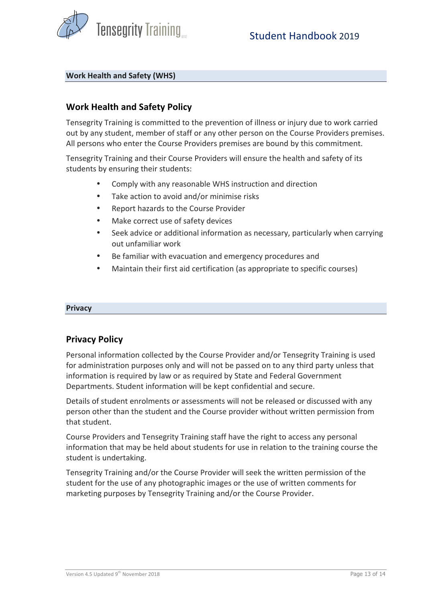

#### **Work Health and Safety (WHS)**

# **Work Health and Safety Policy**

Tensegrity Training is committed to the prevention of illness or injury due to work carried out by any student, member of staff or any other person on the Course Providers premises. All persons who enter the Course Providers premises are bound by this commitment.

Tensegrity Training and their Course Providers will ensure the health and safety of its students by ensuring their students:

- Comply with any reasonable WHS instruction and direction
- Take action to avoid and/or minimise risks
- Report hazards to the Course Provider
- Make correct use of safety devices
- Seek advice or additional information as necessary, particularly when carrying out unfamiliar work
- Be familiar with evacuation and emergency procedures and
- Maintain their first aid certification (as appropriate to specific courses)

#### **Privacy**

#### **Privacy Policy**

Personal information collected by the Course Provider and/or Tensegrity Training is used for administration purposes only and will not be passed on to any third party unless that information is required by law or as required by State and Federal Government Departments. Student information will be kept confidential and secure.

Details of student enrolments or assessments will not be released or discussed with any person other than the student and the Course provider without written permission from that student.

Course Providers and Tensegrity Training staff have the right to access any personal information that may be held about students for use in relation to the training course the student is undertaking.

Tensegrity Training and/or the Course Provider will seek the written permission of the student for the use of any photographic images or the use of written comments for marketing purposes by Tensegrity Training and/or the Course Provider.